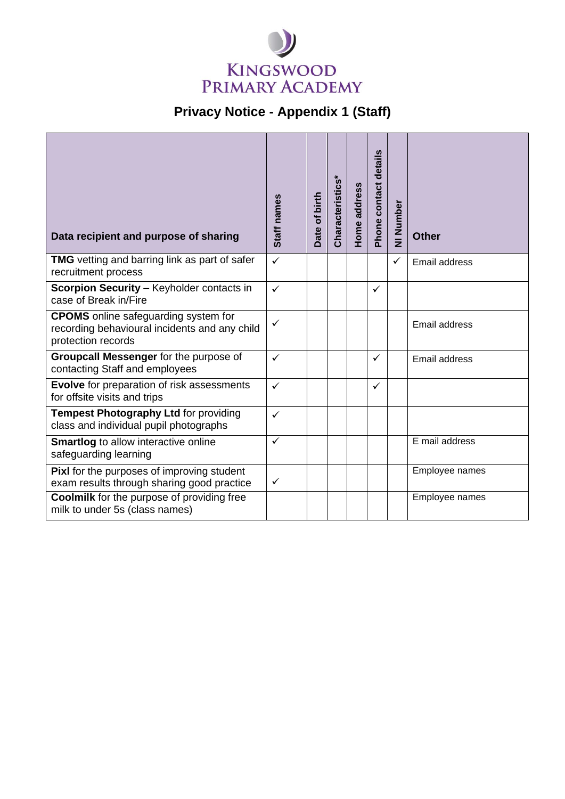

## **Privacy Notice - Appendix 1 (Staff)**

| Data recipient and purpose of sharing                                                                              | Staff names  | Date of birth | Characteristics* | Home address | Phone contact details | NI Number    | <b>Other</b>   |
|--------------------------------------------------------------------------------------------------------------------|--------------|---------------|------------------|--------------|-----------------------|--------------|----------------|
| <b>TMG</b> vetting and barring link as part of safer<br>recruitment process                                        | $\checkmark$ |               |                  |              |                       | $\checkmark$ | Email address  |
| Scorpion Security - Keyholder contacts in<br>case of Break in/Fire                                                 | $\checkmark$ |               |                  |              | $\checkmark$          |              |                |
| <b>CPOMS</b> online safeguarding system for<br>recording behavioural incidents and any child<br>protection records | ✓            |               |                  |              |                       |              | Email address  |
| Groupcall Messenger for the purpose of<br>contacting Staff and employees                                           | $\checkmark$ |               |                  |              | $\checkmark$          |              | Email address  |
| Evolve for preparation of risk assessments<br>for offsite visits and trips                                         | $\checkmark$ |               |                  |              | $\checkmark$          |              |                |
| Tempest Photography Ltd for providing<br>class and individual pupil photographs                                    | $\checkmark$ |               |                  |              |                       |              |                |
| <b>Smartlog</b> to allow interactive online<br>safeguarding learning                                               | ✓            |               |                  |              |                       |              | E mail address |
| Pixl for the purposes of improving student<br>exam results through sharing good practice                           | $\checkmark$ |               |                  |              |                       |              | Employee names |
| <b>Coolmilk</b> for the purpose of providing free<br>milk to under 5s (class names)                                |              |               |                  |              |                       |              | Employee names |